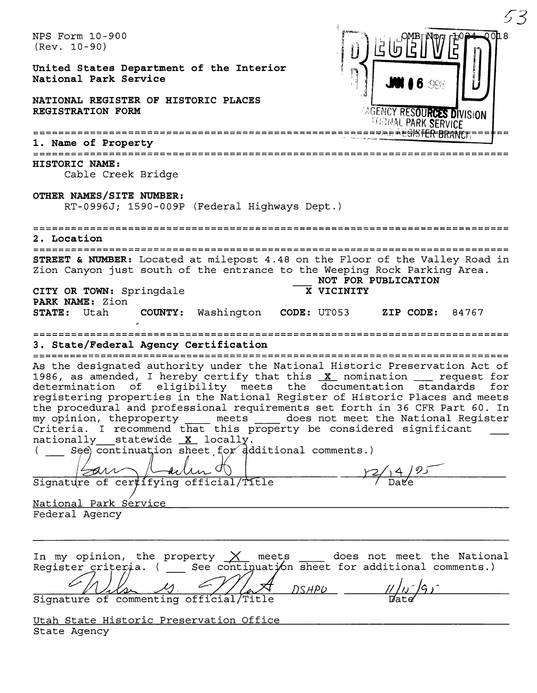| ムイ                                                                                                                                                                                                                                                                                                                                                                                                                                                                                                                                                                                                                                                                                                                 |
|--------------------------------------------------------------------------------------------------------------------------------------------------------------------------------------------------------------------------------------------------------------------------------------------------------------------------------------------------------------------------------------------------------------------------------------------------------------------------------------------------------------------------------------------------------------------------------------------------------------------------------------------------------------------------------------------------------------------|
| NPS Form 10-900<br>$(Rev. 10-90)$<br>United States Department of the Interior<br>National Park Service<br>NATIONAL REGISTER OF HISTORIC PLACES                                                                                                                                                                                                                                                                                                                                                                                                                                                                                                                                                                     |
| <b><i>AGENCY RESOURCES DIVISION</i></b><br>REGISTRATION FORM<br><b><i>ITIOMAL PARK SERVICE</i></b>                                                                                                                                                                                                                                                                                                                                                                                                                                                                                                                                                                                                                 |
| =====================<br>1. Name of Property                                                                                                                                                                                                                                                                                                                                                                                                                                                                                                                                                                                                                                                                       |
| ==========================<br><b>HISTORIC NAME:</b><br>Cable Creek Bridge                                                                                                                                                                                                                                                                                                                                                                                                                                                                                                                                                                                                                                          |
| OTHER NAMES/SITE NUMBER:<br>RT-0996J; 1590-009P (Federal Highways Dept.)                                                                                                                                                                                                                                                                                                                                                                                                                                                                                                                                                                                                                                           |
| 2. Location                                                                                                                                                                                                                                                                                                                                                                                                                                                                                                                                                                                                                                                                                                        |
| STREET & NUMBER: Located at milepost 4.48 on the Floor of the Valley Road in<br>Zion Canyon just south of the entrance to the Weeping Rock Parking Area.<br>NOT FOR PUBLICATION                                                                                                                                                                                                                                                                                                                                                                                                                                                                                                                                    |
| X VICINITY<br>CITY OR TOWN: Springdale<br>PARK NAME: Zion<br>Washington<br><b>STATE:</b> Utah<br>COUNTY:<br>CODE: UT053 ZIP CODE:<br>84767                                                                                                                                                                                                                                                                                                                                                                                                                                                                                                                                                                         |
| 3. State/Federal Agency Certification                                                                                                                                                                                                                                                                                                                                                                                                                                                                                                                                                                                                                                                                              |
| As the designated authority under the National Historic Preservation Act of<br>1986, as amended, I hereby certify that this $X$ nomination $\quad$ request for<br>eligibility meets the documentation standards<br>determination of<br>for<br>registering properties in the National Register of Historic Places and meets<br>the procedural and professional requirements set forth in 36 CFR Part 60. In<br>my opinion, theproperty _____ meets _____ does not meet the National Register<br>Criteria. I recommend that this property be considered significant<br>nationally statewide X locally.<br>(See) continuation sheet for ddditional comments.)<br>signature of certifying official/Title<br>$-2/14/95$ |
| National Park Service                                                                                                                                                                                                                                                                                                                                                                                                                                                                                                                                                                                                                                                                                              |
| Federal Agency                                                                                                                                                                                                                                                                                                                                                                                                                                                                                                                                                                                                                                                                                                     |
| In my opinion, the property $\chi$ meets ___ does not meet the National Register criteria. ( __ See continuation sheet for additional comments.)<br>Signature of commenting official/Title DSHPU                                                                                                                                                                                                                                                                                                                                                                                                                                                                                                                   |
|                                                                                                                                                                                                                                                                                                                                                                                                                                                                                                                                                                                                                                                                                                                    |
| Utah State Historic Preservation Office<br>State Agency                                                                                                                                                                                                                                                                                                                                                                                                                                                                                                                                                                                                                                                            |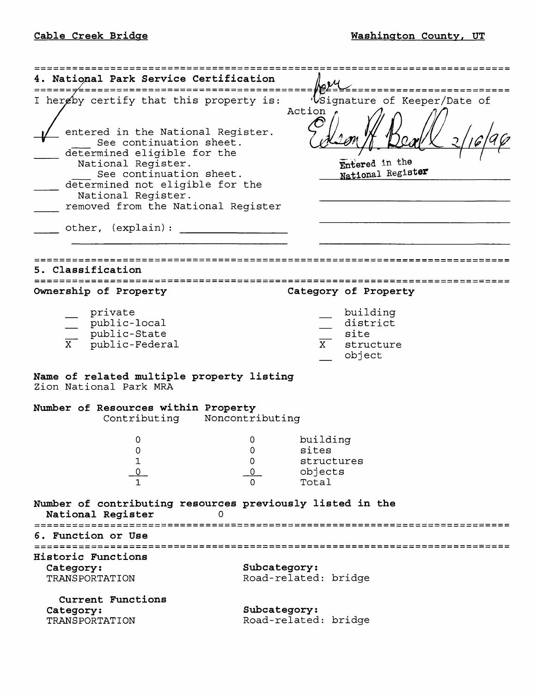| National Park Service Certification                                                                                                                                                                                                         |                                                                               |  |  |
|---------------------------------------------------------------------------------------------------------------------------------------------------------------------------------------------------------------------------------------------|-------------------------------------------------------------------------------|--|--|
| I hereby certify that this property is:                                                                                                                                                                                                     | 'Usignature of Keeper/Date of<br>Action                                       |  |  |
| entered in the National Register.<br>See continuation sheet.<br>determined eligible for the<br>National Register.<br>See continuation sheet.<br>determined not eligible for the<br>National Register.<br>removed from the National Register | Entered in the<br>National Register                                           |  |  |
| other, (explain):                                                                                                                                                                                                                           |                                                                               |  |  |
| Classification                                                                                                                                                                                                                              |                                                                               |  |  |
| Ownership of Property                                                                                                                                                                                                                       | Category of Property                                                          |  |  |
| private<br>public-local<br>public-State<br>public-Federal                                                                                                                                                                                   | building<br>district<br>site<br>$\frac{1}{\mathbf{X}}$<br>structure<br>object |  |  |
| Name of related multiple property listing<br>Zion National Park MRA                                                                                                                                                                         |                                                                               |  |  |
| Number of Resources within Property<br>Contributing Noncontributing                                                                                                                                                                         |                                                                               |  |  |
| 0<br>Ω<br>1                                                                                                                                                                                                                                 | building<br>O<br>sites<br>structures<br>0<br>objects<br>Total                 |  |  |
| Number of contributing resources previously listed in the<br>National Register<br>Ω                                                                                                                                                         |                                                                               |  |  |
| ======================<br>6. Function or Use                                                                                                                                                                                                |                                                                               |  |  |
| Historic Functions<br>Category:<br>TRANSPORTATION                                                                                                                                                                                           | Subcategory:<br>Road-related: bridge                                          |  |  |
| Current Functions<br>Category:<br>TRANSPORTATION                                                                                                                                                                                            | Subcategory:<br>Road-related: bridge                                          |  |  |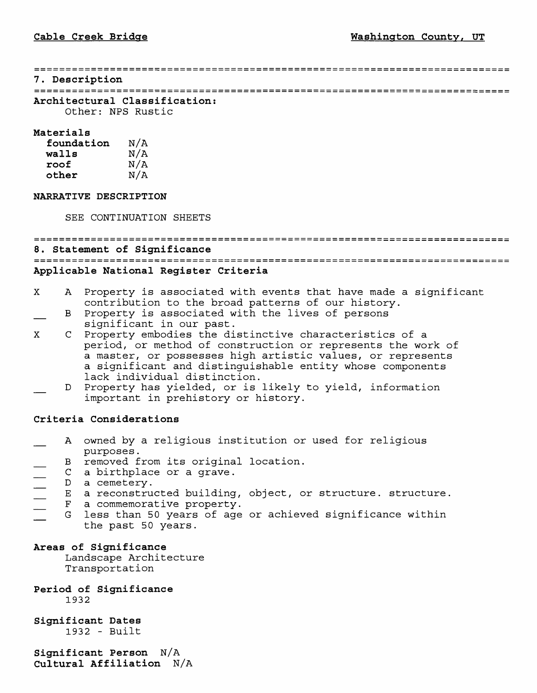#### **7. Description**

**Architectural Classification:**

Other: NFS Rustic

## **Materials**

| foundation | N/A |
|------------|-----|
| walls      | N/A |
| roof       | N/A |
| other      | N/A |

## **NARRATIVE DESCRIPTION**

SEE CONTINUATION SHEETS

# **8. Statement of Significance Applicable National Register Criteria**

- X A Property is associated with events that have made a significant contribution to the broad patterns of our history.
- B Property is associated with the lives of persons significant in our past.
- X C Property embodies the distinctive characteristics of a period, or method of construction or represents the work of a master, or possesses high artistic values, or represents a significant and distinguishable entity whose components lack individual distinction.
- D Property has yielded, or is likely to yield, information important in prehistory or history.

## **Criteria Considerations**

- A owned by a religious institution or used for religious purposes.
- 
- C a birthplace or a grave.
- D a cemetery.
- E a reconstructed building, object, or structure. structure.<br>F a commemorative property.
- F a commemorative property.<br>G less than 50 vears of age
- B removed from its original location.<br>
C a birthplace or a grave.<br>
D a cemetery.<br>
 E a reconstructed building, object, o<br>
F a commemorative property.<br>
G less than 50 years of age or achiev less than 50 years of age or achieved significance within the past 50 years.

## **Areas of Significance**

Landscape Architecture Transportation

## **Period of Significance** 1932

## **Significant Dates** 1932 - Built

**Significant Person N/A Cultural Affiliation N/A**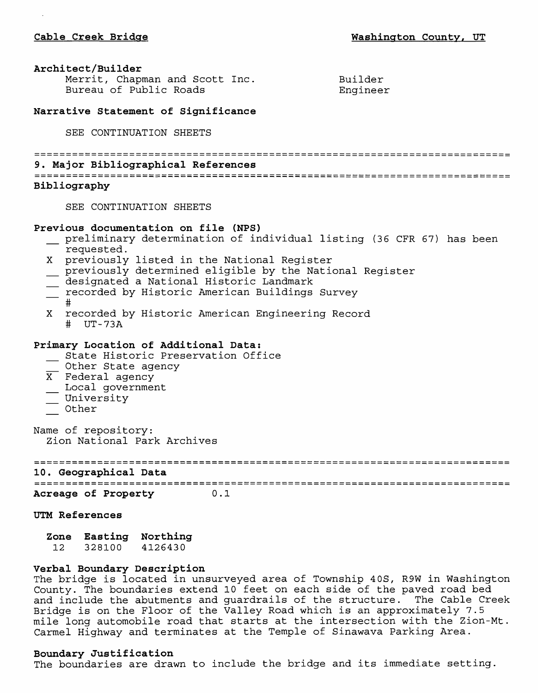## **Architect/Builder**

| Merrit, Chapman and Scott Inc. | Builder  |
|--------------------------------|----------|
| Bureau of Public Roads         | Engineer |
|                                |          |

**Narrative Statement of Significance**

SEE CONTINUATION SHEETS

**9. Major Bibliographical References** 

## **Bibliography**

SEE CONTINUATION SHEETS

## **Previous documentation on file (NFS)**

- \_ preliminary determination of individual listing (36 CFR 67) has been requested.
- X previously listed in the National Register
- \_ previously determined eligible by the National Register
- $\equiv$  designated a National Historic Landmark
- \_ recorded by Historic American Buildings Survey
- #
- X recorded by Historic American Engineering Record # UT-73A

## **Primary Location of Additional Data:**

imary Location of Additional Data:<br>\_\_ State Historic Preservation Office

- \_\_ State Historic Pre<br>\_\_ Other State agency
- $\overline{X}$  Federal agency
- \_ Local government
- \_\_ University
- \_ Other

Name of repository: Zion National Park Archives

**10. Geographical Data** 

**Acreage of Property 0.1**

### **UTM References**

**Zone Easting Northing** 12 328100 4126430

## **Verbal Boundary Description**

The bridge is located in unsurveyed area of Township 4OS, R9W in Washington County. The boundaries extend 10 feet on each side of the paved road bed and include the abutments and guardrails of the structure. The Cable Creek Bridge is on the Floor of the Valley Road which is an approximately 7.5 mile long automobile road that starts at the intersection with the Zion-Mt. Carmel Highway and terminates at the Temple of Sinawava Parking Area.

## **Boundary Justification**

The boundaries are drawn to include the bridge and its immediate setting.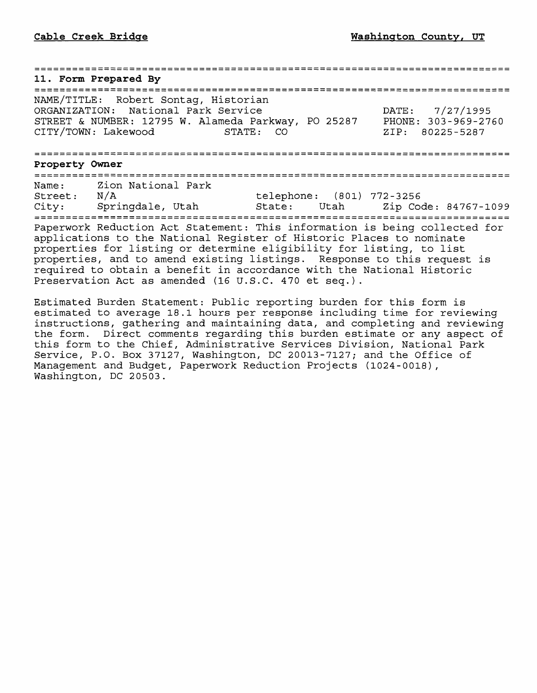**11. Form Prepared By** NAME/TITLE: Robert Sontag, Historian ORGANIZATION: National Park Service DATE: 7/27/1995 STREET & NUMBER: 12795 W. Alameda Parkway, PO 25287 PHONE: 303-969-2760 CITY/TOWN: Lakewood **Property Owner** Name: Zion National Park<br>Street: N/A telephone: (801) 772-3256 City: Springdale, Utah State: Utah Zip Code: 84767-1099 Paperwork Reduction Act Statement: This information is being collected for applications to the National Register of Historic Places to nominate properties for listing or determine eligibility for listing, to list properties, and to amend existing listings. Response to this request is required to obtain a benefit in accordance with the National Historic Preservation Act as amended (16 U.S.C. 470 et seq.).

Estimated Burden Statement: Public reporting burden for this form is estimated to average 18.1 hours per response including time for reviewing instructions, gathering and maintaining data, and completing and reviewing the form. Direct comments regarding this burden estimate or any aspect of this form to the Chief, Administrative Services Division, National Park Service, P.O. Box 37127, Washington, DC 20013-7127; and the Office of Management and Budget, Paperwork Reduction Projects (1024-0018), Washington, DC 20503.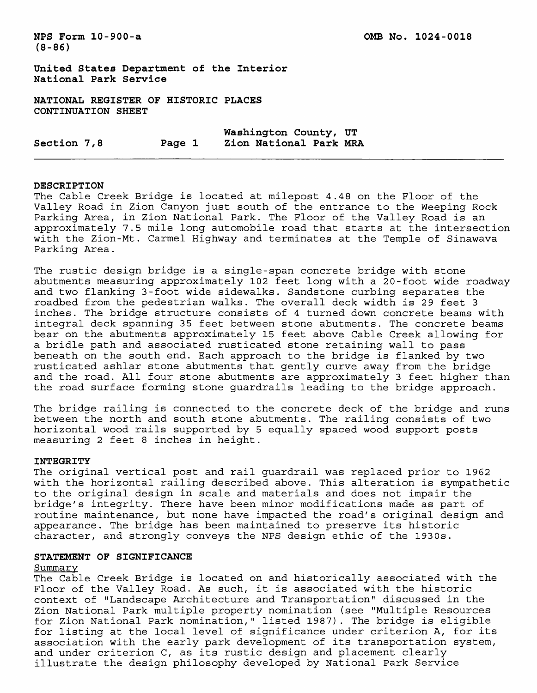**(8-86)**

**United States Department of the Interior National Park Service**

**NATIONAL REGISTER OF HISTORIC PLACES CONTINUATION SHEET**

**Washington County, UT Section 7,8 Page 1 Zion National Park MRA**

#### **DESCRIPTION**

The Cable Creek Bridge is located at milepost 4.48 on the Floor of the Valley Road in Zion Canyon just south of the entrance to the Weeping Rock Parking Area, in Zion National Park. The Floor of the Valley Road is an approximately 7.5 mile long automobile road that starts at the intersection with the Zion-Mt. Carmel Highway and terminates at the Temple of Sinawava Parking Area.

The rustic design bridge is a single-span concrete bridge with stone abutments measuring approximately 102 feet long with a 20-foot wide roadway and two flanking 3-foot wide sidewalks. Sandstone curbing separates the roadbed from the pedestrian walks. The overall deck width is 29 feet 3 inches. The bridge structure consists of 4 turned down concrete beams with integral deck spanning 35 feet between stone abutments. The concrete beams bear on the abutments approximately 15 feet above Cable Creek allowing for a bridle path and associated rusticated stone retaining wall to pass beneath on the south end. Each approach to the bridge is flanked by two rusticated ashlar stone abutments that gently curve away from the bridge and the road. All four stone abutments are approximately 3 feet higher than the road surface forming stone guardrails leading to the bridge approach.

The bridge railing is connected to the concrete deck of the bridge and runs between the north and south stone abutments. The railing consists of two horizontal wood rails supported by 5 equally spaced wood support posts measuring 2 feet 8 inches in height.

### **INTEGRITY**

The original vertical post and rail guardrail was replaced prior to 1962 with the horizontal railing described above. This alteration is sympathetic to the original design in scale and materials and does not impair the bridge's integrity. There have been minor modifications made as part of routine maintenance, but none have impacted the road's original design and appearance. The bridge has been maintained to preserve its historic character, and strongly conveys the NFS design ethic of the 1930s.

## **STATEMENT OF SIGNIFICANCE**

#### Summary

The Cable Creek Bridge is located on and historically associated with the Floor of the Valley Road. As such, it is associated with the historic context of "Landscape Architecture and Transportation" discussed in the Zion National Park multiple property nomination (see "Multiple Resources for Zion National Park nomination," listed 1987). The bridge is eligible for listing at the local level of significance under criterion A, for its association with the early park development of its transportation system, and under criterion C, as its rustic design and placement clearly illustrate the design philosophy developed by National Park Service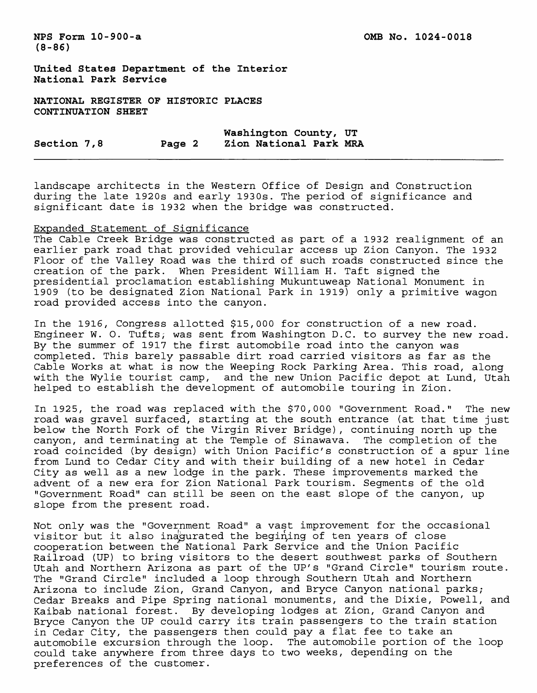**NFS Form 10-900-a OMB No. 1024-0018** 

**(8-86)**

**United States Department of the Interior National Park Service**

**NATIONAL REGISTER OP HISTORIC PLACES CONTINUATION SHEET**

**Washington County, UT**  Section 7,8 Page 2

landscape architects in the Western Office of Design and Construction during the late 1920s and early 1930s. The period of significance and significant date is 1932 when the bridge was constructed.

## Expanded Statement of Significance

The Cable Creek Bridge was constructed as part of a 1932 realignment of an earlier park road that provided vehicular access up Zion Canyon. The 1932 Floor of the Valley Road was the third of such roads constructed since the creation of the park. When President William H. Taft signed the presidential proclamation establishing Mukuntuweap National Monument in 1909 (to be designated Zion National Park in 1919) only a primitive wagon road provided access into the canyon.

In the 1916, Congress allotted \$15,000 for construction of a new road. Engineer W. O. Tufts; was sent from Washington D.C. to survey the new road. By the summer of 1917 the first automobile road into the canyon was completed. This barely passable dirt road carried visitors as far as the Cable Works at what is now the Weeping Rock Parking Area. This road, along with the Wylie tourist camp, and the new Union Pacific depot at Lund, Utah helped to establish the development of automobile touring in Zion.

In 1925, the road was replaced with the \$70,000 "Government Road." The new road was gravel surfaced, starting at the south entrance (at that time just below the North Fork of the Virgin River Bridge), continuing north up the canyon, and terminating at the Temple of Sinawava. The completion of the road coincided (by design) with Union Pacific's construction of a spur line from Lund to Cedar City and with their building of a new hotel in Cedar City as well as a new lodge in the park. These improvements marked the advent of a new era for Zion National Park tourism. Segments of the old "Government Road" can still be seen on the east slope of the canyon, up slope from the present road.

Not only was the "Government Road" a vast improvement for the occasional visitor but it also inagurated the begining of ten years of close cooperation between the National Park Service and the Union Pacific Railroad (UP) to bring visitors to the desert southwest parks of Southern Utah and Northern Arizona as part of the UP's "Grand Circle" tourism route. The "Grand Circle" included a loop through Southern Utah and Northern Arizona to include Zion, Grand Canyon, and Bryce Canyon national parks; Cedar Breaks and Pipe Spring national monuments, and the Dixie, Powell, and Kaibab national forest. By developing lodges at Zion, Grand Canyon and Bryce Canyon the UP could carry its train passengers to the train station in Cedar City, the passengers then could pay a flat fee to take an automobile excursion through the loop. The automobile portion of the loop could take anywhere from three days to two weeks, depending on the preferences of the customer.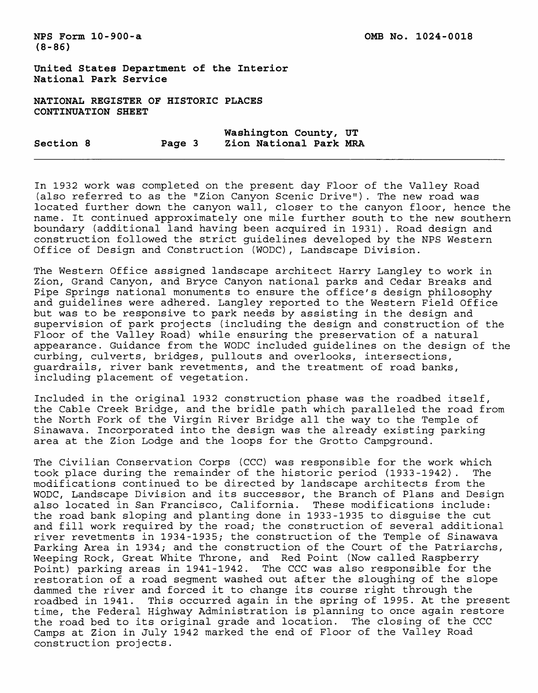**(8-86)**

**United States Department of the Interior National Park Service**

**NATIONAL REGISTER OF HISTORIC PLACES CONTINUATION SHEET**

**Washington County, UT Section 8 Page 3 Zion National Park MRA**

In 1932 work was completed on the present day Floor of the Valley Road (also referred to as the "Zion Canyon Scenic Drive"). The new road was located further down the canyon wall, closer to the canyon floor, hence the name. It continued approximately one mile further south to the new southern boundary (additional land having been acquired in 1931). Road design and construction followed the strict guidelines developed by the NFS Western Office of Design and Construction (WODC), Landscape Division.

The Western Office assigned landscape architect Harry Langley to work in Zion, Grand Canyon, and Bryce Canyon national parks and Cedar Breaks and Pipe Springs national monuments to ensure the office's design philosophy and guidelines were adhered. Langley reported to the Western Field Office but was to be responsive to park needs by assisting in the design and supervision of park projects (including the design and construction of the Floor of the Valley Road) while ensuring the preservation of a natural appearance. Guidance from the WODC included guidelines on the design of the curbing, culverts, bridges, pullouts and overlooks, intersections, guardrails, river bank revetments, and the treatment of road banks, including placement of vegetation.

Included in the original 1932 construction phase was the roadbed itself, the Cable Creek Bridge, and the bridle path which paralleled the road from the North Fork of the Virgin River Bridge all the way to the Temple of Sinawava. Incorporated into the design was the already existing parking area at the Zion Lodge and the loops for the Grotto Campground.

The Civilian Conservation Corps (CCC) was responsible for the work which took place during the remainder of the historic period (1933-1942) . The modifications continued to be directed by landscape architects from the WODC, Landscape Division and its successor, the Branch of Plans and Design also located in San Francisco, California. These modifications include: the road bank sloping and planting done in 1933-1935 to disguise the cut and fill work required by the road; the construction of several additional river revetments in 1934-1935; the construction of the Temple of Sinawava Parking Area in 1934; and the construction of the Court of the Patriarchs, Weeping Rock, Great White Throne, and Red Point (Now called Raspberry Point) parking areas in 1941-1942. The CCC was also responsible for the restoration of a road segment washed out after the sloughing of the slope dammed the river and forced it to change its course right through the roadbed in 1941. This occurred again in the spring of 1995. At the present time, the Federal Highway Administration is planning to once again restore the road bed to its original grade and location. The closing of the CCC Camps at Zion in July 1942 marked the end of Floor of the Valley Road construction projects.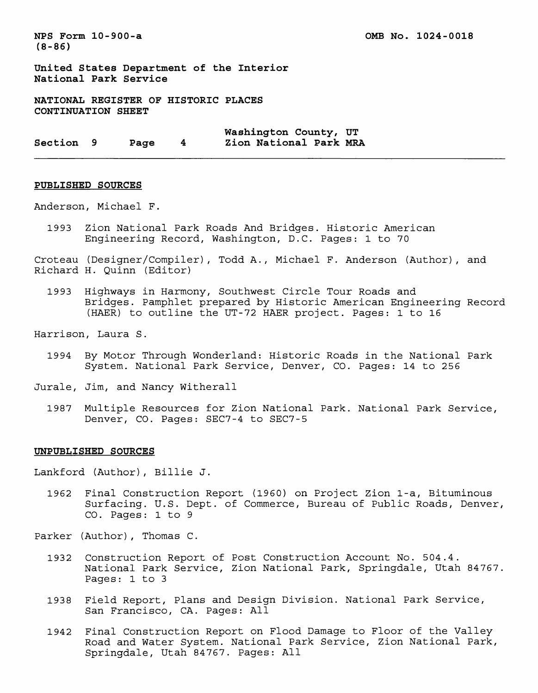**NFS Form 10-900-a OMB No. 1024-0018 (8-86)**

**United States Department of the Interior National Park Service**

**NATIONAL REGISTER OF HISTORIC PLACES CONTINUATION SHEET**

**Washington County, UT Section 9 Page 4 Zion National Park MRA**

#### **PUBLISHED SOURCES**

Anderson, Michael F.

1993 Zion National Park Roads And Bridges. Historic American Engineering Record, Washington, D.C. Pages: 1 to 70

Croteau (Designer/Compiler), Todd A., Michael F. Anderson (Author), and Richard H. Quinn (Editor)

1993 Highways in Harmony, Southwest Circle Tour Roads and Bridges. Pamphlet prepared by Historic American Engineering Record (HAER) to outline the UT-72 HAER project. Pages: 1 to 16

Harrison, Laura S.

- 1994 By Motor Through Wonderland: Historic Roads in the National Park System. National Park Service, Denver, CO. Pages: 14 to 256
- Jurale, Jim, and Nancy Witherall
	- 1987 Multiple Resources for Zion National Park. National Park Service, Denver, CO. Pages: SEC7-4 to SEC7-5

#### **UNPUBLISHED SOURCES**

Lankford (Author), Billie J.

- 1962 Final Construction Report (1960) on Project Zion 1-a, Bituminous Surfacing. U.S. Dept. of Commerce, Bureau of Public Roads, Denver, CO. Pages: 1 to 9
- Parker (Author), Thomas C.
	- 1932 Construction Report of Post Construction Account No. 504.4. National Park Service, Zion National Park, Springdale, Utah 84767. Pages: 1 to 3
	- 1938 Field Report, Plans and Design Division. National Park Service, San Francisco, CA. Pages: All
	- 1942 Final Construction Report on Flood Damage to Floor of the Valley Road and Water System. National Park Service, Zion National Park, Springdale, Utah 84767. Pages: All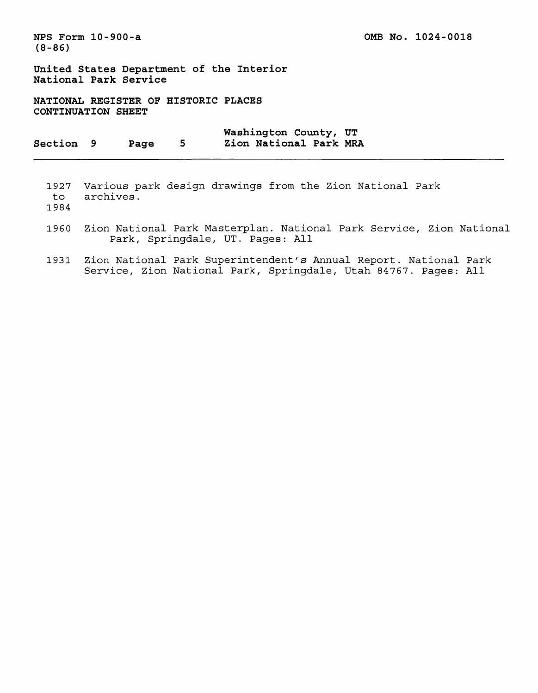**(8-86)**

**NFS Form 10-900-a 0MB No. 1024-0018** 

**United States Department of the Interior National Park Service**

**NATIONAL REGISTER OF HISTORIC PLACES CONTINUATION SHEET**

**Washington County, UT Section 9 Page 5 Zion National Park MRA**

1927 Various park design drawings from the Zion National Park to archives.

1984

- 1960 Zion National Park Masterplan. National Park Service, Zion National Park, Springdale, UT. Pages: All
- 1931 Zion National Park Superintendent's Annual Report. National Park Service, Zion National Park, Springdale, Utah 84767. Pages: All